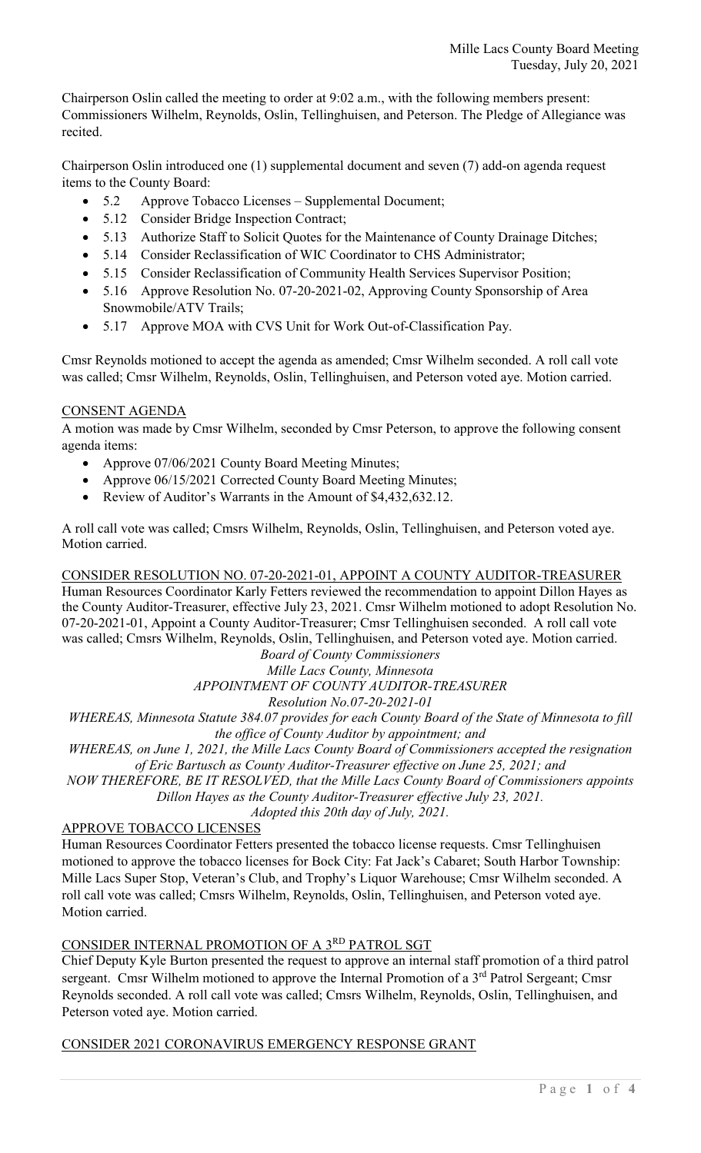Chairperson Oslin called the meeting to order at 9:02 a.m., with the following members present: Commissioners Wilhelm, Reynolds, Oslin, Tellinghuisen, and Peterson. The Pledge of Allegiance was recited.

Chairperson Oslin introduced one (1) supplemental document and seven (7) add-on agenda request items to the County Board:

- 5.2 Approve Tobacco Licenses Supplemental Document;
- 5.12 Consider Bridge Inspection Contract;
- 5.13 Authorize Staff to Solicit Quotes for the Maintenance of County Drainage Ditches;
- 5.14 Consider Reclassification of WIC Coordinator to CHS Administrator;
- 5.15 Consider Reclassification of Community Health Services Supervisor Position;
- 5.16 Approve Resolution No. 07-20-2021-02, Approving County Sponsorship of Area Snowmobile/ATV Trails;
- 5.17 Approve MOA with CVS Unit for Work Out-of-Classification Pay.

Cmsr Reynolds motioned to accept the agenda as amended; Cmsr Wilhelm seconded. A roll call vote was called; Cmsr Wilhelm, Reynolds, Oslin, Tellinghuisen, and Peterson voted aye. Motion carried.

# CONSENT AGENDA

A motion was made by Cmsr Wilhelm, seconded by Cmsr Peterson, to approve the following consent agenda items:

- Approve 07/06/2021 County Board Meeting Minutes;
- Approve 06/15/2021 Corrected County Board Meeting Minutes;
- Review of Auditor's Warrants in the Amount of \$4,432,632.12.

A roll call vote was called; Cmsrs Wilhelm, Reynolds, Oslin, Tellinghuisen, and Peterson voted aye. Motion carried.

CONSIDER RESOLUTION NO. 07-20-2021-01, APPOINT A COUNTY AUDITOR-TREASURER

Human Resources Coordinator Karly Fetters reviewed the recommendation to appoint Dillon Hayes as the County Auditor-Treasurer, effective July 23, 2021. Cmsr Wilhelm motioned to adopt Resolution No. 07-20-2021-01, Appoint a County Auditor-Treasurer; Cmsr Tellinghuisen seconded. A roll call vote was called; Cmsrs Wilhelm, Reynolds, Oslin, Tellinghuisen, and Peterson voted aye. Motion carried.

*Board of County Commissioners*

*Mille Lacs County, Minnesota*

*APPOINTMENT OF COUNTY AUDITOR-TREASURER*

*Resolution No.07-20-2021-01*

*WHEREAS, Minnesota Statute 384.07 provides for each County Board of the State of Minnesota to fill the office of County Auditor by appointment; and*

*WHEREAS, on June 1, 2021, the Mille Lacs County Board of Commissioners accepted the resignation of Eric Bartusch as County Auditor-Treasurer effective on June 25, 2021; and*

*NOW THEREFORE, BE IT RESOLVED, that the Mille Lacs County Board of Commissioners appoints Dillon Hayes as the County Auditor-Treasurer effective July 23, 2021.*

*Adopted this 20th day of July, 2021.*

# APPROVE TOBACCO LICENSES

Human Resources Coordinator Fetters presented the tobacco license requests. Cmsr Tellinghuisen motioned to approve the tobacco licenses for Bock City: Fat Jack's Cabaret; South Harbor Township: Mille Lacs Super Stop, Veteran's Club, and Trophy's Liquor Warehouse; Cmsr Wilhelm seconded. A roll call vote was called; Cmsrs Wilhelm, Reynolds, Oslin, Tellinghuisen, and Peterson voted aye. Motion carried.

# CONSIDER INTERNAL PROMOTION OF A 3RD PATROL SGT

Chief Deputy Kyle Burton presented the request to approve an internal staff promotion of a third patrol sergeant. Cmsr Wilhelm motioned to approve the Internal Promotion of a 3<sup>rd</sup> Patrol Sergeant; Cmsr Reynolds seconded. A roll call vote was called; Cmsrs Wilhelm, Reynolds, Oslin, Tellinghuisen, and Peterson voted aye. Motion carried.

# CONSIDER 2021 CORONAVIRUS EMERGENCY RESPONSE GRANT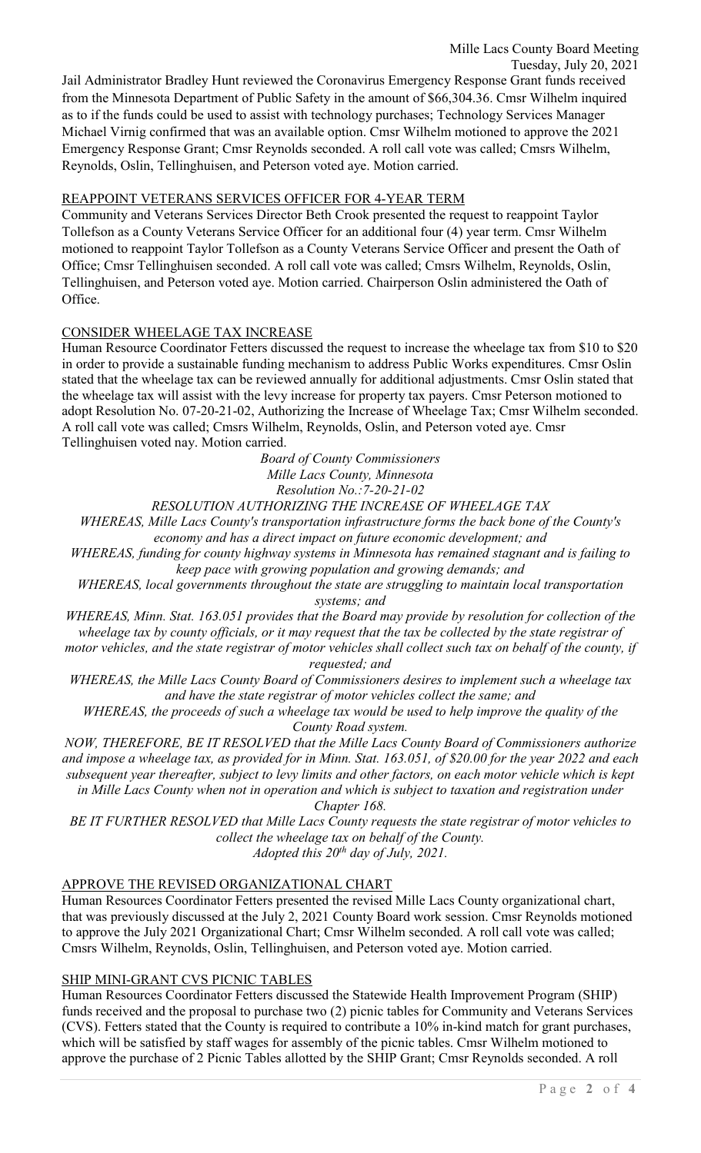Jail Administrator Bradley Hunt reviewed the Coronavirus Emergency Response Grant funds received from the Minnesota Department of Public Safety in the amount of \$66,304.36. Cmsr Wilhelm inquired as to if the funds could be used to assist with technology purchases; Technology Services Manager Michael Virnig confirmed that was an available option. Cmsr Wilhelm motioned to approve the 2021 Emergency Response Grant; Cmsr Reynolds seconded. A roll call vote was called; Cmsrs Wilhelm, Reynolds, Oslin, Tellinghuisen, and Peterson voted aye. Motion carried.

# REAPPOINT VETERANS SERVICES OFFICER FOR 4-YEAR TERM

Community and Veterans Services Director Beth Crook presented the request to reappoint Taylor Tollefson as a County Veterans Service Officer for an additional four (4) year term. Cmsr Wilhelm motioned to reappoint Taylor Tollefson as a County Veterans Service Officer and present the Oath of Office; Cmsr Tellinghuisen seconded. A roll call vote was called; Cmsrs Wilhelm, Reynolds, Oslin, Tellinghuisen, and Peterson voted aye. Motion carried. Chairperson Oslin administered the Oath of Office.

### CONSIDER WHEELAGE TAX INCREASE

Human Resource Coordinator Fetters discussed the request to increase the wheelage tax from \$10 to \$20 in order to provide a sustainable funding mechanism to address Public Works expenditures. Cmsr Oslin stated that the wheelage tax can be reviewed annually for additional adjustments. Cmsr Oslin stated that the wheelage tax will assist with the levy increase for property tax payers. Cmsr Peterson motioned to adopt Resolution No. 07-20-21-02, Authorizing the Increase of Wheelage Tax; Cmsr Wilhelm seconded. A roll call vote was called; Cmsrs Wilhelm, Reynolds, Oslin, and Peterson voted aye. Cmsr Tellinghuisen voted nay. Motion carried.

> *Board of County Commissioners Mille Lacs County, Minnesota Resolution No.:7-20-21-02*

*RESOLUTION AUTHORIZING THE INCREASE OF WHEELAGE TAX*

*WHEREAS, Mille Lacs County's transportation infrastructure forms the back bone of the County's economy and has a direct impact on future economic development; and*

*WHEREAS, funding for county highway systems in Minnesota has remained stagnant and is failing to keep pace with growing population and growing demands; and*

*WHEREAS, local governments throughout the state are struggling to maintain local transportation systems; and*

*WHEREAS, Minn. Stat. 163.051 provides that the Board may provide by resolution for collection of the wheelage tax by county officials, or it may request that the tax be collected by the state registrar of motor vehicles, and the state registrar of motor vehicles shall collect such tax on behalf of the county, if* 

*requested; and*

*WHEREAS, the Mille Lacs County Board of Commissioners desires to implement such a wheelage tax and have the state registrar of motor vehicles collect the same; and*

*WHEREAS, the proceeds of such a wheelage tax would be used to help improve the quality of the County Road system.*

*NOW, THEREFORE, BE IT RESOLVED that the Mille Lacs County Board of Commissioners authorize and impose a wheelage tax, as provided for in Minn. Stat. 163.051, of \$20.00 for the year 2022 and each subsequent year thereafter, subject to levy limits and other factors, on each motor vehicle which is kept in Mille Lacs County when not in operation and which is subject to taxation and registration under* 

*Chapter 168.*

*BE IT FURTHER RESOLVED that Mille Lacs County requests the state registrar of motor vehicles to collect the wheelage tax on behalf of the County. Adopted this 20th day of July, 2021.*

### APPROVE THE REVISED ORGANIZATIONAL CHART

Human Resources Coordinator Fetters presented the revised Mille Lacs County organizational chart, that was previously discussed at the July 2, 2021 County Board work session. Cmsr Reynolds motioned to approve the July 2021 Organizational Chart; Cmsr Wilhelm seconded. A roll call vote was called; Cmsrs Wilhelm, Reynolds, Oslin, Tellinghuisen, and Peterson voted aye. Motion carried.

### SHIP MINI-GRANT CVS PICNIC TABLES

Human Resources Coordinator Fetters discussed the Statewide Health Improvement Program (SHIP) funds received and the proposal to purchase two (2) picnic tables for Community and Veterans Services (CVS). Fetters stated that the County is required to contribute a 10% in-kind match for grant purchases, which will be satisfied by staff wages for assembly of the picnic tables. Cmsr Wilhelm motioned to approve the purchase of 2 Picnic Tables allotted by the SHIP Grant; Cmsr Reynolds seconded. A roll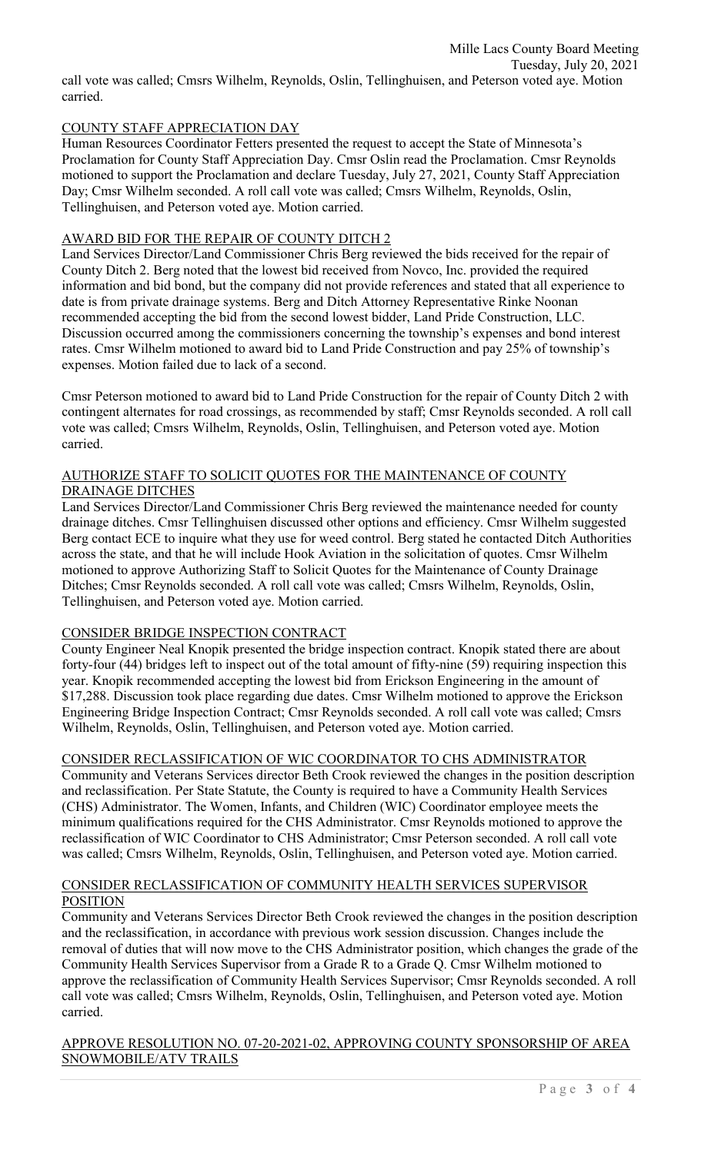# COUNTY STAFF APPRECIATION DAY

Human Resources Coordinator Fetters presented the request to accept the State of Minnesota's Proclamation for County Staff Appreciation Day. Cmsr Oslin read the Proclamation. Cmsr Reynolds motioned to support the Proclamation and declare Tuesday, July 27, 2021, County Staff Appreciation Day; Cmsr Wilhelm seconded. A roll call vote was called; Cmsrs Wilhelm, Reynolds, Oslin, Tellinghuisen, and Peterson voted aye. Motion carried.

# AWARD BID FOR THE REPAIR OF COUNTY DITCH 2

Land Services Director/Land Commissioner Chris Berg reviewed the bids received for the repair of County Ditch 2. Berg noted that the lowest bid received from Novco, Inc. provided the required information and bid bond, but the company did not provide references and stated that all experience to date is from private drainage systems. Berg and Ditch Attorney Representative Rinke Noonan recommended accepting the bid from the second lowest bidder, Land Pride Construction, LLC. Discussion occurred among the commissioners concerning the township's expenses and bond interest rates. Cmsr Wilhelm motioned to award bid to Land Pride Construction and pay 25% of township's expenses. Motion failed due to lack of a second.

Cmsr Peterson motioned to award bid to Land Pride Construction for the repair of County Ditch 2 with contingent alternates for road crossings, as recommended by staff; Cmsr Reynolds seconded. A roll call vote was called; Cmsrs Wilhelm, Reynolds, Oslin, Tellinghuisen, and Peterson voted aye. Motion carried.

### AUTHORIZE STAFF TO SOLICIT QUOTES FOR THE MAINTENANCE OF COUNTY DRAINAGE DITCHES

Land Services Director/Land Commissioner Chris Berg reviewed the maintenance needed for county drainage ditches. Cmsr Tellinghuisen discussed other options and efficiency. Cmsr Wilhelm suggested Berg contact ECE to inquire what they use for weed control. Berg stated he contacted Ditch Authorities across the state, and that he will include Hook Aviation in the solicitation of quotes. Cmsr Wilhelm motioned to approve Authorizing Staff to Solicit Quotes for the Maintenance of County Drainage Ditches; Cmsr Reynolds seconded. A roll call vote was called; Cmsrs Wilhelm, Reynolds, Oslin, Tellinghuisen, and Peterson voted aye. Motion carried.

# CONSIDER BRIDGE INSPECTION CONTRACT

County Engineer Neal Knopik presented the bridge inspection contract. Knopik stated there are about forty-four (44) bridges left to inspect out of the total amount of fifty-nine (59) requiring inspection this year. Knopik recommended accepting the lowest bid from Erickson Engineering in the amount of \$17,288. Discussion took place regarding due dates. Cmsr Wilhelm motioned to approve the Erickson Engineering Bridge Inspection Contract; Cmsr Reynolds seconded. A roll call vote was called; Cmsrs Wilhelm, Reynolds, Oslin, Tellinghuisen, and Peterson voted aye. Motion carried.

# CONSIDER RECLASSIFICATION OF WIC COORDINATOR TO CHS ADMINISTRATOR

Community and Veterans Services director Beth Crook reviewed the changes in the position description and reclassification. Per State Statute, the County is required to have a Community Health Services (CHS) Administrator. The Women, Infants, and Children (WIC) Coordinator employee meets the minimum qualifications required for the CHS Administrator. Cmsr Reynolds motioned to approve the reclassification of WIC Coordinator to CHS Administrator; Cmsr Peterson seconded. A roll call vote was called; Cmsrs Wilhelm, Reynolds, Oslin, Tellinghuisen, and Peterson voted aye. Motion carried.

### CONSIDER RECLASSIFICATION OF COMMUNITY HEALTH SERVICES SUPERVISOR **POSITION**

Community and Veterans Services Director Beth Crook reviewed the changes in the position description and the reclassification, in accordance with previous work session discussion. Changes include the removal of duties that will now move to the CHS Administrator position, which changes the grade of the Community Health Services Supervisor from a Grade R to a Grade Q. Cmsr Wilhelm motioned to approve the reclassification of Community Health Services Supervisor; Cmsr Reynolds seconded. A roll call vote was called; Cmsrs Wilhelm, Reynolds, Oslin, Tellinghuisen, and Peterson voted aye. Motion carried.

### APPROVE RESOLUTION NO. 07-20-2021-02, APPROVING COUNTY SPONSORSHIP OF AREA SNOWMOBILE/ATV TRAILS